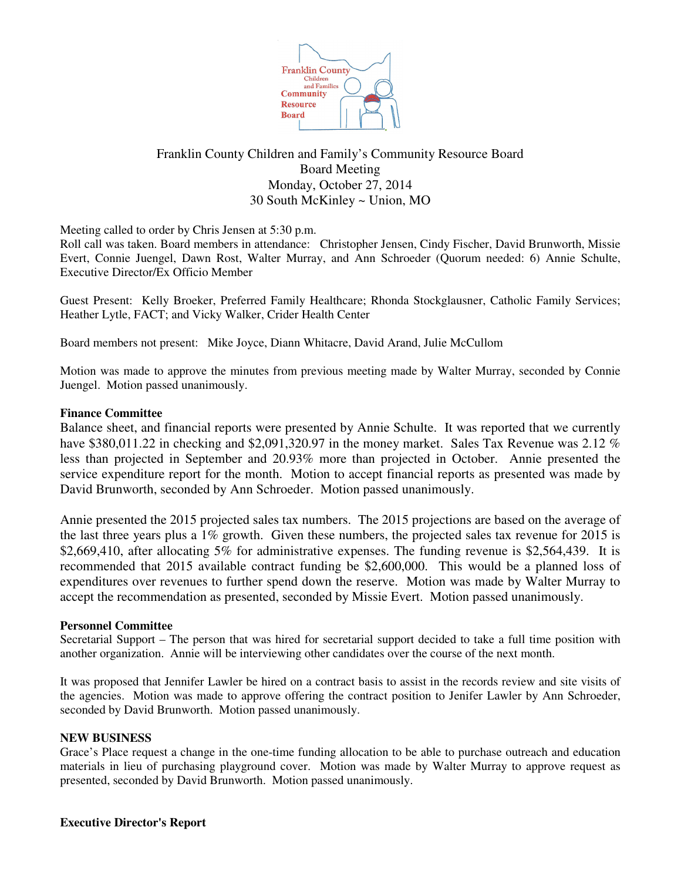

# Franklin County Children and Family's Community Resource Board Board Meeting Monday, October 27, 2014 30 South McKinley ~ Union, MO

Meeting called to order by Chris Jensen at 5:30 p.m.

Roll call was taken. Board members in attendance: Christopher Jensen, Cindy Fischer, David Brunworth, Missie Evert, Connie Juengel, Dawn Rost, Walter Murray, and Ann Schroeder (Quorum needed: 6) Annie Schulte, Executive Director/Ex Officio Member

Guest Present: Kelly Broeker, Preferred Family Healthcare; Rhonda Stockglausner, Catholic Family Services; Heather Lytle, FACT; and Vicky Walker, Crider Health Center

Board members not present: Mike Joyce, Diann Whitacre, David Arand, Julie McCullom

Motion was made to approve the minutes from previous meeting made by Walter Murray, seconded by Connie Juengel. Motion passed unanimously.

## **Finance Committee**

Balance sheet, and financial reports were presented by Annie Schulte. It was reported that we currently have \$380,011.22 in checking and \$2,091,320.97 in the money market. Sales Tax Revenue was 2.12 % less than projected in September and 20.93% more than projected in October. Annie presented the service expenditure report for the month. Motion to accept financial reports as presented was made by David Brunworth, seconded by Ann Schroeder. Motion passed unanimously.

Annie presented the 2015 projected sales tax numbers. The 2015 projections are based on the average of the last three years plus a 1% growth. Given these numbers, the projected sales tax revenue for 2015 is \$2,669,410, after allocating 5% for administrative expenses. The funding revenue is \$2,564,439. It is recommended that 2015 available contract funding be \$2,600,000. This would be a planned loss of expenditures over revenues to further spend down the reserve. Motion was made by Walter Murray to accept the recommendation as presented, seconded by Missie Evert. Motion passed unanimously.

## **Personnel Committee**

Secretarial Support – The person that was hired for secretarial support decided to take a full time position with another organization. Annie will be interviewing other candidates over the course of the next month.

It was proposed that Jennifer Lawler be hired on a contract basis to assist in the records review and site visits of the agencies. Motion was made to approve offering the contract position to Jenifer Lawler by Ann Schroeder, seconded by David Brunworth. Motion passed unanimously.

## **NEW BUSINESS**

Grace's Place request a change in the one-time funding allocation to be able to purchase outreach and education materials in lieu of purchasing playground cover. Motion was made by Walter Murray to approve request as presented, seconded by David Brunworth. Motion passed unanimously.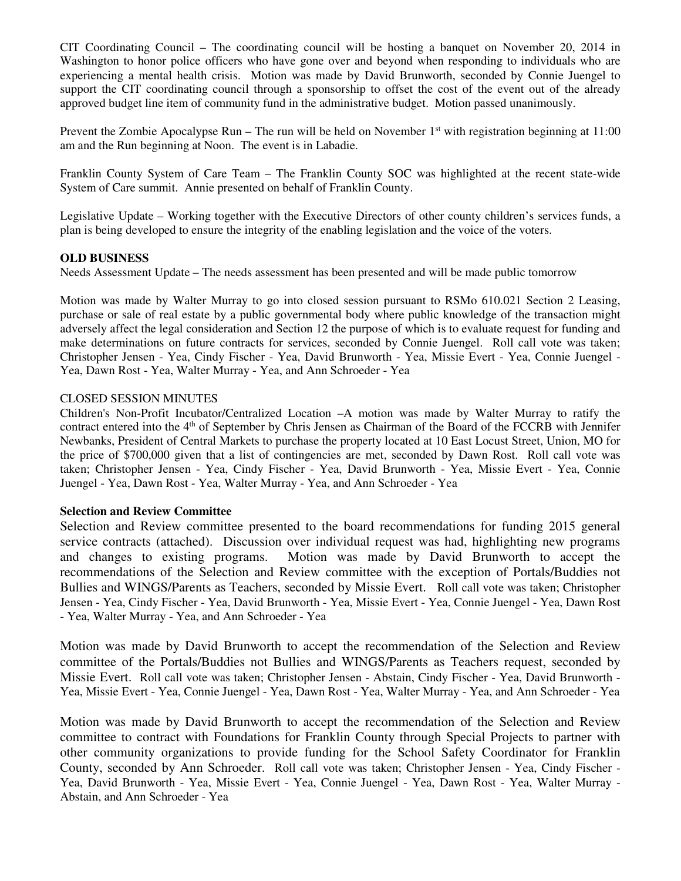CIT Coordinating Council – The coordinating council will be hosting a banquet on November 20, 2014 in Washington to honor police officers who have gone over and beyond when responding to individuals who are experiencing a mental health crisis. Motion was made by David Brunworth, seconded by Connie Juengel to support the CIT coordinating council through a sponsorship to offset the cost of the event out of the already approved budget line item of community fund in the administrative budget. Motion passed unanimously.

Prevent the Zombie Apocalypse Run – The run will be held on November  $1<sup>st</sup>$  with registration beginning at  $11:00$ am and the Run beginning at Noon. The event is in Labadie.

Franklin County System of Care Team – The Franklin County SOC was highlighted at the recent state-wide System of Care summit. Annie presented on behalf of Franklin County.

Legislative Update – Working together with the Executive Directors of other county children's services funds, a plan is being developed to ensure the integrity of the enabling legislation and the voice of the voters.

#### **OLD BUSINESS**

Needs Assessment Update – The needs assessment has been presented and will be made public tomorrow

Motion was made by Walter Murray to go into closed session pursuant to RSMo 610.021 Section 2 Leasing, purchase or sale of real estate by a public governmental body where public knowledge of the transaction might adversely affect the legal consideration and Section 12 the purpose of which is to evaluate request for funding and make determinations on future contracts for services, seconded by Connie Juengel. Roll call vote was taken; Christopher Jensen - Yea, Cindy Fischer - Yea, David Brunworth - Yea, Missie Evert - Yea, Connie Juengel - Yea, Dawn Rost - Yea, Walter Murray - Yea, and Ann Schroeder - Yea

#### CLOSED SESSION MINUTES

Children's Non-Profit Incubator/Centralized Location –A motion was made by Walter Murray to ratify the contract entered into the 4<sup>th</sup> of September by Chris Jensen as Chairman of the Board of the FCCRB with Jennifer Newbanks, President of Central Markets to purchase the property located at 10 East Locust Street, Union, MO for the price of \$700,000 given that a list of contingencies are met, seconded by Dawn Rost. Roll call vote was taken; Christopher Jensen - Yea, Cindy Fischer - Yea, David Brunworth - Yea, Missie Evert - Yea, Connie Juengel - Yea, Dawn Rost - Yea, Walter Murray - Yea, and Ann Schroeder - Yea

## **Selection and Review Committee**

Selection and Review committee presented to the board recommendations for funding 2015 general service contracts (attached). Discussion over individual request was had, highlighting new programs and changes to existing programs. Motion was made by David Brunworth to accept the recommendations of the Selection and Review committee with the exception of Portals/Buddies not Bullies and WINGS/Parents as Teachers, seconded by Missie Evert. Roll call vote was taken; Christopher Jensen - Yea, Cindy Fischer - Yea, David Brunworth - Yea, Missie Evert - Yea, Connie Juengel - Yea, Dawn Rost - Yea, Walter Murray - Yea, and Ann Schroeder - Yea

Motion was made by David Brunworth to accept the recommendation of the Selection and Review committee of the Portals/Buddies not Bullies and WINGS/Parents as Teachers request, seconded by Missie Evert. Roll call vote was taken; Christopher Jensen - Abstain, Cindy Fischer - Yea, David Brunworth - Yea, Missie Evert - Yea, Connie Juengel - Yea, Dawn Rost - Yea, Walter Murray - Yea, and Ann Schroeder - Yea

Motion was made by David Brunworth to accept the recommendation of the Selection and Review committee to contract with Foundations for Franklin County through Special Projects to partner with other community organizations to provide funding for the School Safety Coordinator for Franklin County, seconded by Ann Schroeder. Roll call vote was taken; Christopher Jensen - Yea, Cindy Fischer - Yea, David Brunworth - Yea, Missie Evert - Yea, Connie Juengel - Yea, Dawn Rost - Yea, Walter Murray - Abstain, and Ann Schroeder - Yea